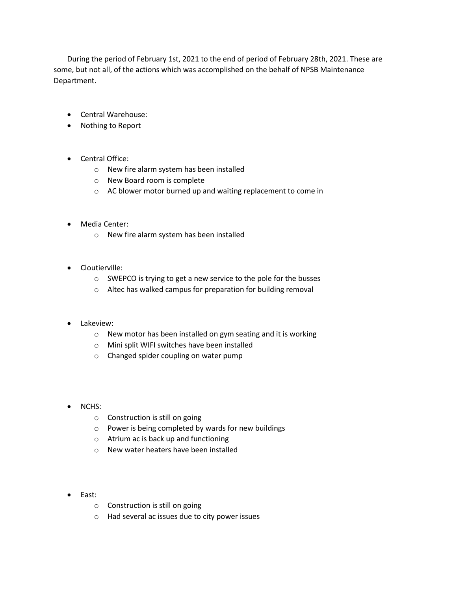During the period of February 1st, 2021 to the end of period of February 28th, 2021. These are some, but not all, of the actions which was accomplished on the behalf of NPSB Maintenance Department.

- Central Warehouse:
- Nothing to Report
- Central Office:
	- o New fire alarm system has been installed
	- o New Board room is complete
	- o AC blower motor burned up and waiting replacement to come in
- Media Center:
	- o New fire alarm system has been installed
- Cloutierville:
	- o SWEPCO is trying to get a new service to the pole for the busses
	- o Altec has walked campus for preparation for building removal

## Lakeview:

- o New motor has been installed on gym seating and it is working
- o Mini split WIFI switches have been installed
- o Changed spider coupling on water pump
- NCHS:
	- o Construction is still on going
	- o Power is being completed by wards for new buildings
	- o Atrium ac is back up and functioning
	- o New water heaters have been installed
- East:
	- o Construction is still on going
	- o Had several ac issues due to city power issues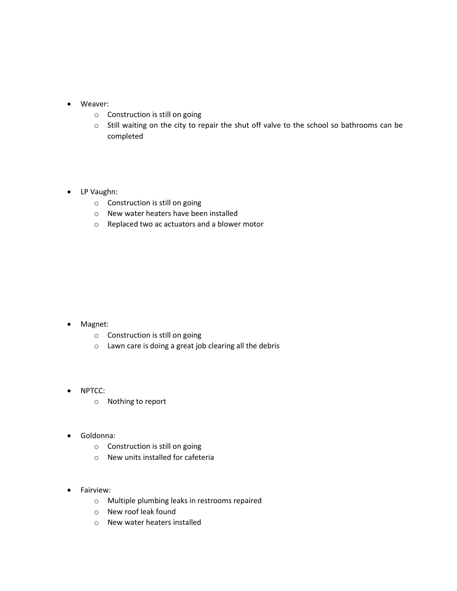- Weaver:
	- o Construction is still on going
	- o Still waiting on the city to repair the shut off valve to the school so bathrooms can be completed

## • LP Vaughn:

- o Construction is still on going
- o New water heaters have been installed
- o Replaced two ac actuators and a blower motor

## • Magnet:

- o Construction is still on going
- o Lawn care is doing a great job clearing all the debris
- NPTCC:
	- o Nothing to report
- Goldonna:
	- o Construction is still on going
	- o New units installed for cafeteria
- Fairview:
	- o Multiple plumbing leaks in restrooms repaired
	- o New roof leak found
	- o New water heaters installed